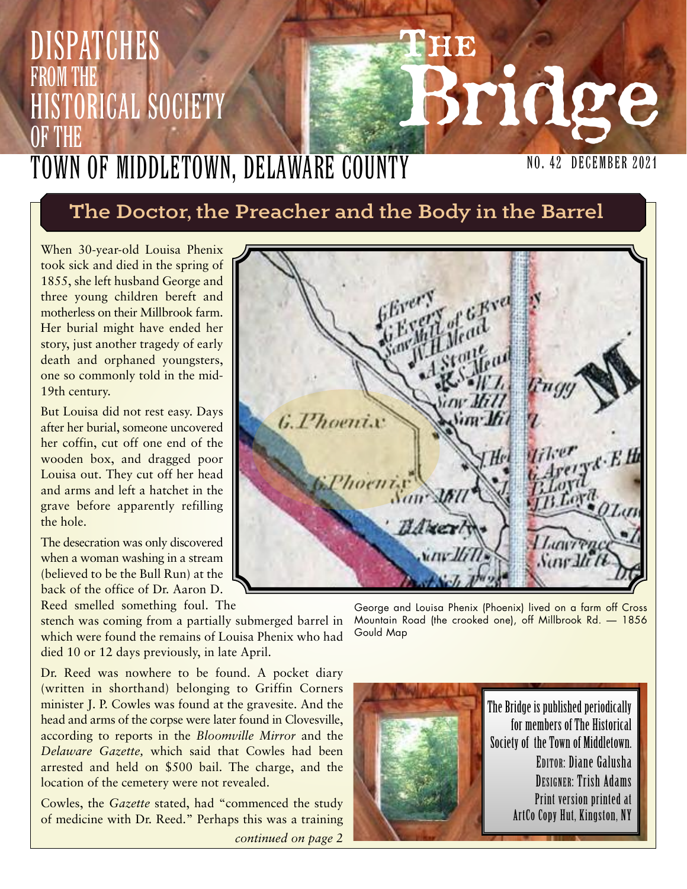## **THE Bridge DISPATCHES** from the **ISTORICAL SOCIETY** OF THE Town of Middletown, Delaware County

### **The Doctor, the Preacher and the Body in the Barrel**

When 30-year-old Louisa Phenix took sick and died in the spring of 1855, she left husband George and three young children bereft and motherless on their Millbrook farm. Her burial might have ended her story, just another tragedy of early death and orphaned youngsters, one so commonly told in the mid-19th century.

But Louisa did not rest easy. Days after her burial, someone uncovered her coffin, cut off one end of the wooden box, and dragged poor Louisa out. They cut off her head and arms and left a hatchet in the grave before apparently refilling the hole.

The desecration was only discovered when a woman washing in a stream (believed to be the Bull Run) at the back of the office of Dr. Aaron D. Reed smelled something foul. The

**G. Phoenix** BAKer *Sone* J

stench was coming from a partially submerged barrel in which were found the remains of Louisa Phenix who had died 10 or 12 days previously, in late April.

Dr. Reed was nowhere to be found. A pocket diary (written in shorthand) belonging to Griffin Corners minister J. P. Cowles was found at the gravesite. And the head and arms of the corpse were later found in Clovesville, according to reports in the *Bloomville Mirror* and the *Delaware Gazette,* which said that Cowles had been arrested and held on \$500 bail. The charge, and the location of the cemetery were not revealed.

Cowles, the *Gazette* stated, had "commenced the study of medicine with Dr. Reed." Perhaps this was a training

*continued on page 2*

George and Louisa Phenix (Phoenix) lived on a farm off Cross Mountain Road (the crooked one), off Millbrook Rd. — 1856 Gould Map



The Bridge is published periodically for members of The Historical Society of the Town of Middletown. EDITOR: Diane Galusha DESIGNER: Trish Adams Print version printed at ArtCo Copy Hut, Kingston, NY

NO. 42 December 2021

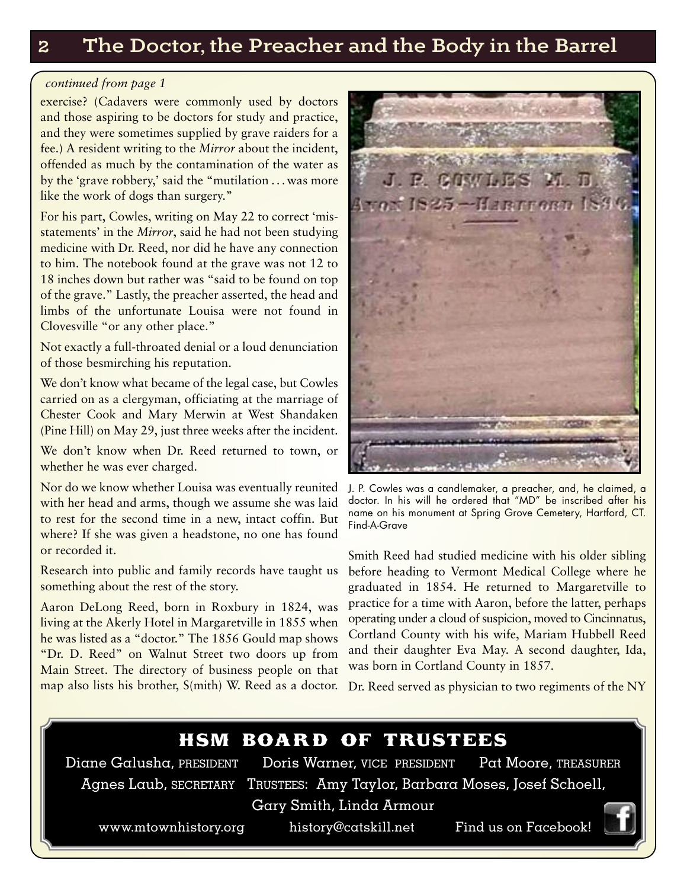#### **2 The Doctor, the Preacher and the Body in the Barrel**

#### *continued from page 1*

exercise? (Cadavers were commonly used by doctors and those aspiring to be doctors for study and practice, and they were sometimes supplied by grave raiders for a fee.) A resident writing to the *Mirror* about the incident, offended as much by the contamination of the water as by the 'grave robbery,' said the "mutilation . . .was more like the work of dogs than surgery."

For his part, Cowles, writing on May 22 to correct 'misstatements' in the *Mirror*, said he had not been studying medicine with Dr. Reed, nor did he have any connection to him. The notebook found at the grave was not 12 to 18 inches down but rather was "said to be found on top of the grave." Lastly, the preacher asserted, the head and limbs of the unfortunate Louisa were not found in Clovesville "or any other place."

Not exactly a full-throated denial or a loud denunciation of those besmirching his reputation.

We don't know what became of the legal case, but Cowles carried on as a clergyman, officiating at the marriage of Chester Cook and Mary Merwin at West Shandaken (Pine Hill) on May 29, just three weeks after the incident.

We don't know when Dr. Reed returned to town, or whether he was ever charged.

Nor do we know whether Louisa was eventually reunited J. P. Cowles was a candlemaker, a preacher, and, he claimed, a with her head and arms, though we assume she was laid to rest for the second time in a new, intact coffin. But where? If she was given a headstone, no one has found or recorded it.

Research into public and family records have taught us something about the rest of the story.

Aaron DeLong Reed, born in Roxbury in 1824, was living at the Akerly Hotel in Margaretville in 1855 when he was listed as a "doctor." The 1856 Gould map shows "Dr. D. Reed" on Walnut Street two doors up from Main Street. The directory of business people on that



doctor. In his will he ordered that "MD" be inscribed after his name on his monument at Spring Grove Cemetery, Hartford, CT. Find-A-Grave

Smith Reed had studied medicine with his older sibling before heading to Vermont Medical College where he graduated in 1854. He returned to Margaretville to practice for a time with Aaron, before the latter, perhaps operating under a cloud of suspicion, moved to Cincinnatus, Cortland County with his wife, Mariam Hubbell Reed and their daughter Eva May. A second daughter, Ida, was born in Cortland County in 1857.

map also lists his brother, S(mith) W. Reed as a doctor. Dr. Reed served as physician to two regiments of the NY



Diane Galusha, PRESIDENT Doris Warner, VICE PRESIDENT Pat Moore, TREASURER Agnes Laub, SECRETARY TRUSTEES: Amy Taylor, Barbara Moses, Josef Schoell,

Gary Smith, Linda Armour

www.mtownhistory.org history@catskill.net Find us on Facebook!

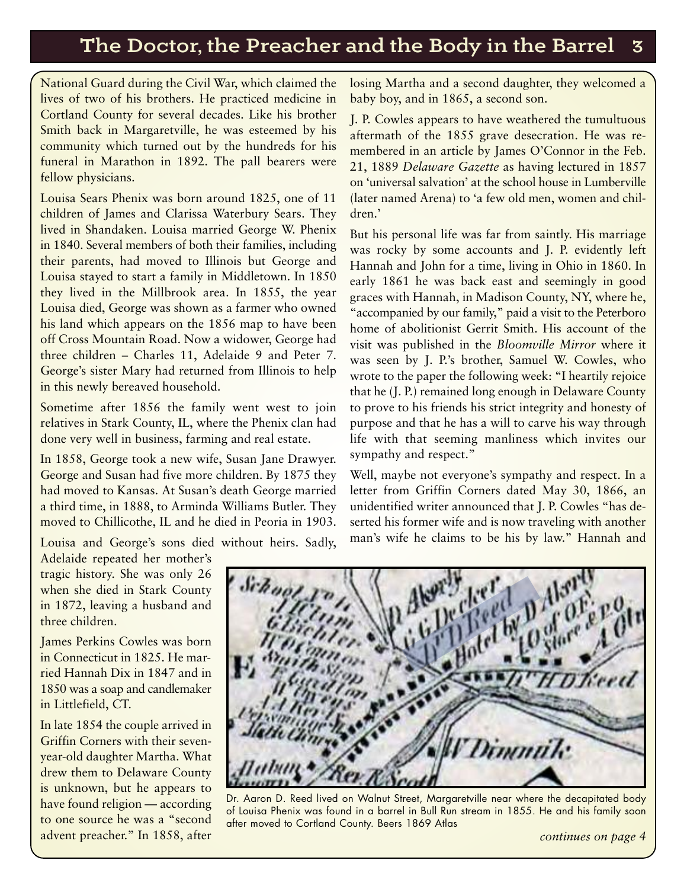#### **The Doctor, the Preacher and the Body in the Barrel 3**

National Guard during the Civil War, which claimed the lives of two of his brothers. He practiced medicine in Cortland County for several decades. Like his brother Smith back in Margaretville, he was esteemed by his community which turned out by the hundreds for his funeral in Marathon in 1892. The pall bearers were fellow physicians.

Louisa Sears Phenix was born around 1825, one of 11 children of James and Clarissa Waterbury Sears. They lived in Shandaken. Louisa married George W. Phenix in 1840. Several members of both their families, including their parents, had moved to Illinois but George and Louisa stayed to start a family in Middletown. In 1850 they lived in the Millbrook area. In 1855, the year Louisa died, George was shown as a farmer who owned his land which appears on the 1856 map to have been off Cross Mountain Road. Now a widower, George had three children – Charles 11, Adelaide 9 and Peter 7. George's sister Mary had returned from Illinois to help in this newly bereaved household.

Sometime after 1856 the family went west to join relatives in Stark County, IL, where the Phenix clan had done very well in business, farming and real estate.

In 1858, George took a new wife, Susan Jane Drawyer. George and Susan had five more children. By 1875 they had moved to Kansas. At Susan's death George married a third time, in 1888, to Arminda Williams Butler. They moved to Chillicothe, IL and he died in Peoria in 1903.

Louisa and George's sons died without heirs. Sadly,

losing Martha and a second daughter, they welcomed a baby boy, and in 1865, a second son.

J. P. Cowles appears to have weathered the tumultuous aftermath of the 1855 grave desecration. He was remembered in an article by James O'Connor in the Feb. 21, 1889 *Delaware Gazette* as having lectured in 1857 on 'universal salvation' at the school house in Lumberville (later named Arena) to 'a few old men, women and children.'

But his personal life was far from saintly. His marriage was rocky by some accounts and J. P. evidently left Hannah and John for a time, living in Ohio in 1860. In early 1861 he was back east and seemingly in good graces with Hannah, in Madison County, NY, where he, "accompanied by our family," paid a visit to the Peterboro home of abolitionist Gerrit Smith. His account of the visit was published in the *Bloomville Mirror* where it was seen by J. P.'s brother, Samuel W. Cowles, who wrote to the paper the following week: "I heartily rejoice that he (J. P.) remained long enough in Delaware County to prove to his friends his strict integrity and honesty of purpose and that he has a will to carve his way through life with that seeming manliness which invites our sympathy and respect."

Well, maybe not everyone's sympathy and respect. In a letter from Griffin Corners dated May 30, 1866, an unidentified writer announced that J. P. Cowles "has deserted his former wife and is now traveling with another man's wife he claims to be his by law." Hannah and

Adelaide repeated her mother's tragic history. She was only 26 when she died in Stark County in 1872, leaving a husband and three children.

James Perkins Cowles was born in Connecticut in 1825. He married Hannah Dix in 1847 and in 1850 was a soap and candlemaker in Littlefield, CT.

In late 1854 the couple arrived in Griffin Corners with their sevenyear-old daughter Martha. What drew them to Delaware County is unknown, but he appears to have found religion — according to one source he was a "second advent preacher." In 1858, after



Dr. Aaron D. Reed lived on Walnut Street, Margaretville near where the decapitated body of Louisa Phenix was found in a barrel in Bull Run stream in 1855. He and his family soon after moved to Cortland County. Beers 1869 Atlas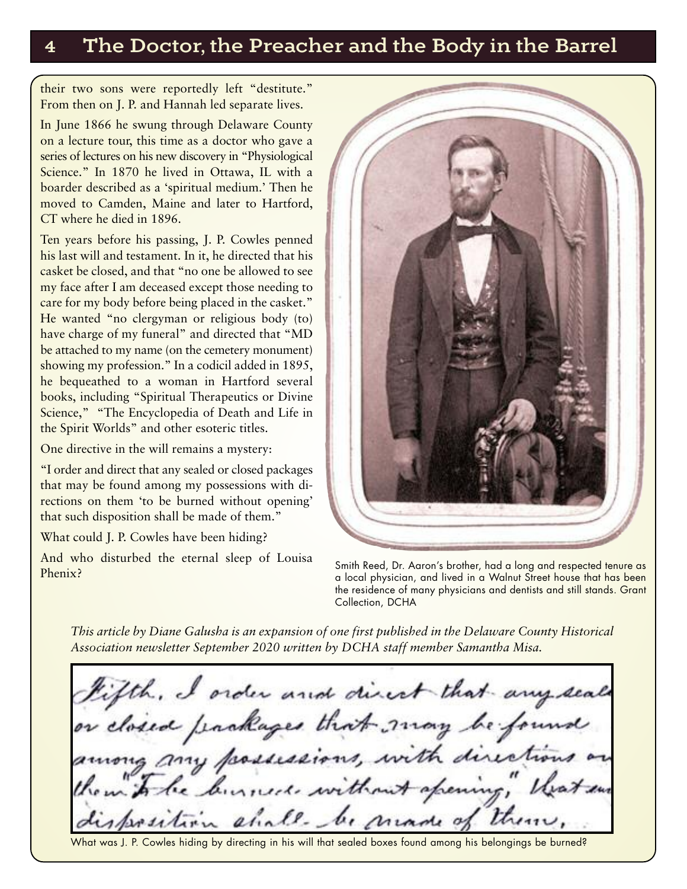#### **4 The Doctor, the Preacher and the Body in the Barrel**

their two sons were reportedly left "destitute." From then on J. P. and Hannah led separate lives.

In June 1866 he swung through Delaware County on a lecture tour, this time as a doctor who gave a series of lectures on his new discovery in "Physiological Science." In 1870 he lived in Ottawa, IL with a boarder described as a 'spiritual medium.' Then he moved to Camden, Maine and later to Hartford, CT where he died in 1896.

Ten years before his passing, J. P. Cowles penned his last will and testament. In it, he directed that his casket be closed, and that "no one be allowed to see my face after I am deceased except those needing to care for my body before being placed in the casket." He wanted "no clergyman or religious body (to) have charge of my funeral" and directed that "MD be attached to my name (on the cemetery monument) showing my profession." In a codicil added in 1895, he bequeathed to a woman in Hartford several books, including "Spiritual Therapeutics or Divine Science," "The Encyclopedia of Death and Life in the Spirit Worlds" and other esoteric titles.

One directive in the will remains a mystery:

"I order and direct that any sealed or closed packages that may be found among my possessions with directions on them 'to be burned without opening' that such disposition shall be made of them."

What could J. P. Cowles have been hiding?

And who disturbed the eternal sleep of Louisa Phenix?



Smith Reed, Dr. Aaron's brother, had a long and respected tenure as a local physician, and lived in a Walnut Street house that has been the residence of many physicians and dentists and still stands. Grant Collection, DCHA

*This article by Diane Galusha is an expansion of one first published in the Delaware County Historical Association newsletter September 2020 written by DCHA staff member Samantha Misa.*

Fifth, I order and direct that any seals<br>or closed packages that may be found<br>among any possessions, with directions on kinneck without spening chall-be made of

What was J. P. Cowles hiding by directing in his will that sealed boxes found among his belongings be burned?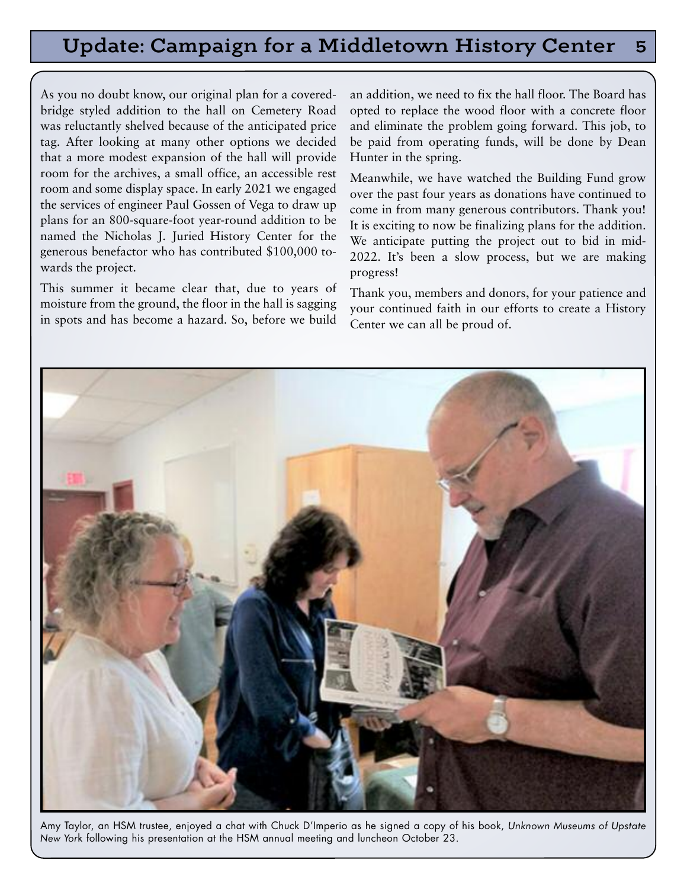#### **Update: Campaign for a Middletown History Center 5**

As you no doubt know, our original plan for a coveredbridge styled addition to the hall on Cemetery Road was reluctantly shelved because of the anticipated price tag. After looking at many other options we decided that a more modest expansion of the hall will provide room for the archives, a small office, an accessible rest room and some display space. In early 2021 we engaged the services of engineer Paul Gossen of Vega to draw up plans for an 800-square-foot year-round addition to be named the Nicholas J. Juried History Center for the generous benefactor who has contributed \$100,000 towards the project.

This summer it became clear that, due to years of moisture from the ground, the floor in the hall is sagging in spots and has become a hazard. So, before we build

an addition, we need to fix the hall floor. The Board has opted to replace the wood floor with a concrete floor and eliminate the problem going forward. This job, to be paid from operating funds, will be done by Dean Hunter in the spring.

Meanwhile, we have watched the Building Fund grow over the past four years as donations have continued to come in from many generous contributors. Thank you! It is exciting to now be finalizing plans for the addition. We anticipate putting the project out to bid in mid-2022. It's been a slow process, but we are making progress!

Thank you, members and donors, for your patience and your continued faith in our efforts to create a History Center we can all be proud of.



Amy Taylor, an HSM trustee, enjoyed a chat with Chuck D'Imperio as he signed a copy of his book, *Unknown Museums of Upstate New Yor*k following his presentation at the HSM annual meeting and luncheon October 23.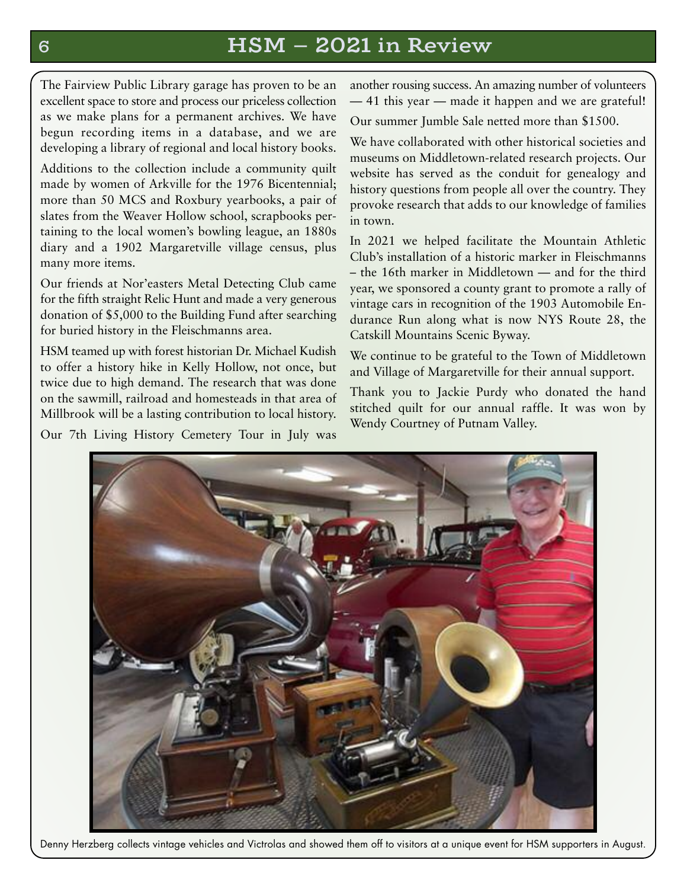#### **6 HSM — 2021 in Review**

The Fairview Public Library garage has proven to be an excellent space to store and process our priceless collection as we make plans for a permanent archives. We have begun recording items in a database, and we are developing a library of regional and local history books.

Additions to the collection include a community quilt made by women of Arkville for the 1976 Bicentennial; more than 50 MCS and Roxbury yearbooks, a pair of slates from the Weaver Hollow school, scrapbooks pertaining to the local women's bowling league, an 1880s diary and a 1902 Margaretville village census, plus many more items.

Our friends at Nor'easters Metal Detecting Club came for the fifth straight Relic Hunt and made a very generous donation of \$5,000 to the Building Fund after searching for buried history in the Fleischmanns area.

HSM teamed up with forest historian Dr. Michael Kudish to offer a history hike in Kelly Hollow, not once, but twice due to high demand. The research that was done on the sawmill, railroad and homesteads in that area of Millbrook will be a lasting contribution to local history.

Our 7th Living History Cemetery Tour in July was

another rousing success. An amazing number of volunteers — 41 this year — made it happen and we are grateful!

Our summer Jumble Sale netted more than \$1500.

We have collaborated with other historical societies and museums on Middletown-related research projects. Our website has served as the conduit for genealogy and history questions from people all over the country. They provoke research that adds to our knowledge of families in town.

In 2021 we helped facilitate the Mountain Athletic Club's installation of a historic marker in Fleischmanns – the 16th marker in Middletown — and for the third year, we sponsored a county grant to promote a rally of vintage cars in recognition of the 1903 Automobile Endurance Run along what is now NYS Route 28, the Catskill Mountains Scenic Byway.

We continue to be grateful to the Town of Middletown and Village of Margaretville for their annual support.

Thank you to Jackie Purdy who donated the hand stitched quilt for our annual raffle. It was won by Wendy Courtney of Putnam Valley.



Denny Herzberg collects vintage vehicles and Victrolas and showed them off to visitors at a unique event for HSM supporters in August.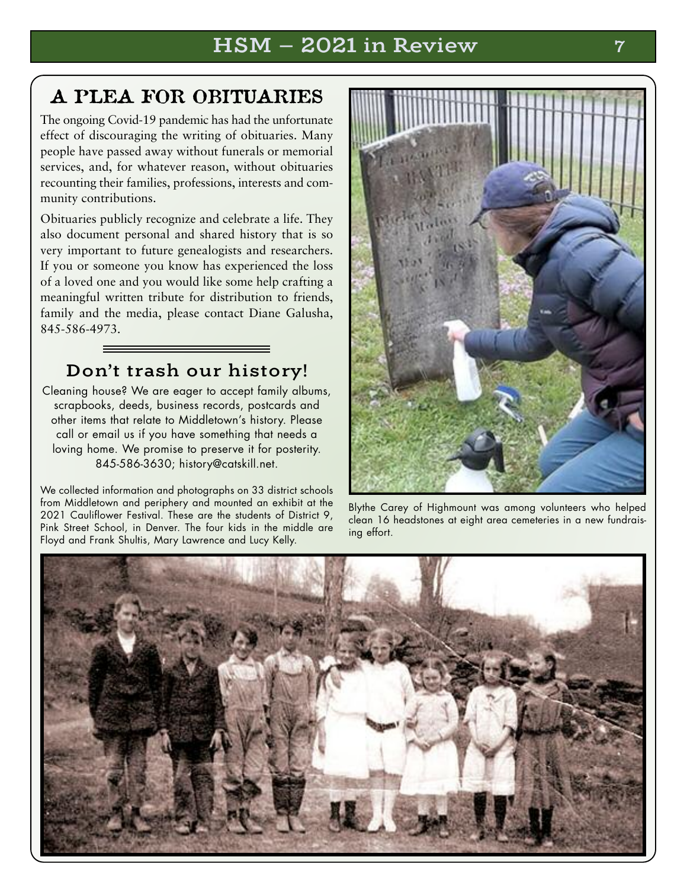### **A PLEA FOR OBITUARIES**

The ongoing Covid-19 pandemic has had the unfortunate effect of discouraging the writing of obituaries. Many people have passed away without funerals or memorial services, and, for whatever reason, without obituaries recounting their families, professions, interests and community contributions.

Obituaries publicly recognize and celebrate a life. They also document personal and shared history that is so very important to future genealogists and researchers. If you or someone you know has experienced the loss of a loved one and you would like some help crafting a meaningful written tribute for distribution to friends, family and the media, please contact Diane Galusha, 845-586-4973.

#### **Don't trash our history!**

Cleaning house? We are eager to accept family albums, scrapbooks, deeds, business records, postcards and other items that relate to Middletown's history. Please call or email us if you have something that needs a loving home. We promise to preserve it for posterity. 845-586-3630; history@catskill.net.

We collected information and photographs on 33 district schools from Middletown and periphery and mounted an exhibit at the 2021 Cauliflower Festival. These are the students of District 9. Pink Street School, in Denver. The four kids in the middle are Floyd and Frank Shultis, Mary Lawrence and Lucy Kelly.



Blythe Carey of Highmount was among volunteers who helped clean 16 headstones at eight area cemeteries in a new fundraising effort.